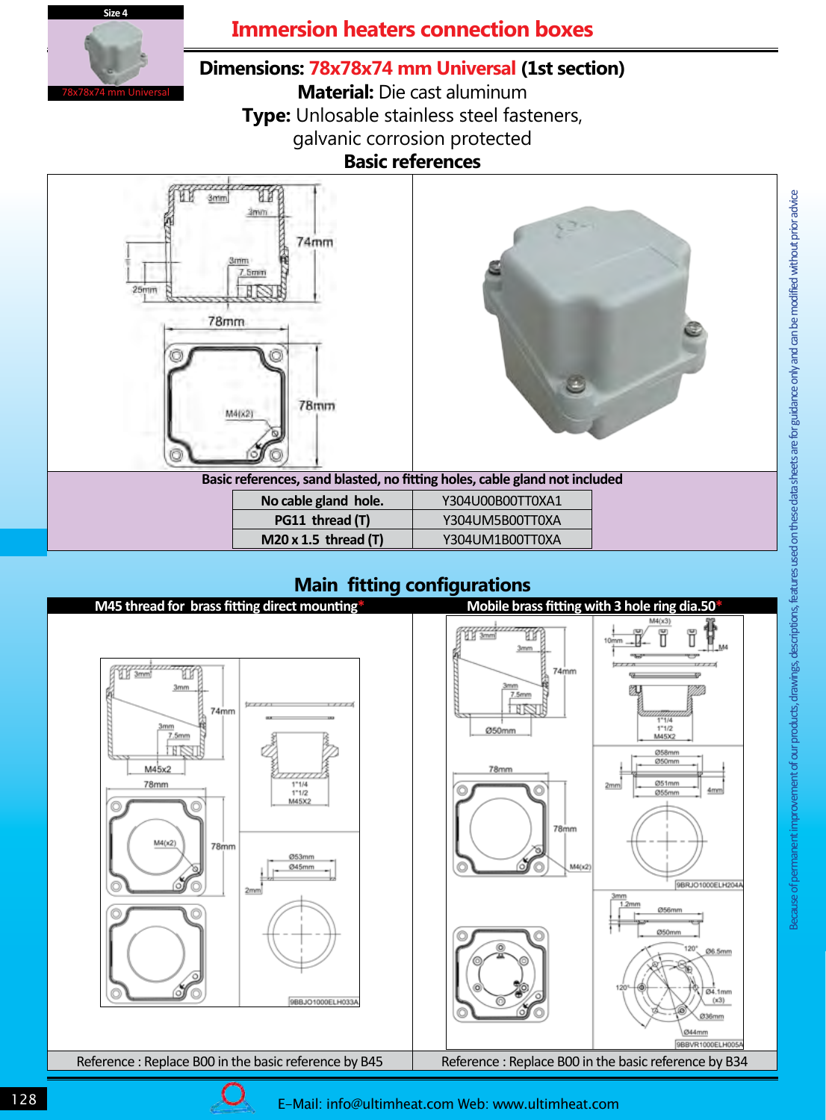

## **Immersion heaters connection boxes**

## **Dimensions: 78x78x74 mm Universal (1st section)**

**Material:** Die cast aluminum **Type:** Unlosable stainless steel fasteners, galvanic corrosion protected **Basic references** 





**Basic references, sand blasted, no fitting holes, cable gland not included** 

| No cable gland hole.        | Y304U00B00TT0XA1 |
|-----------------------------|------------------|
| PG11 thread (T)             | Y304UM5B00TT0XA  |
| $M20 \times 1.5$ thread (T) | Y304UM1B00TT0XA  |